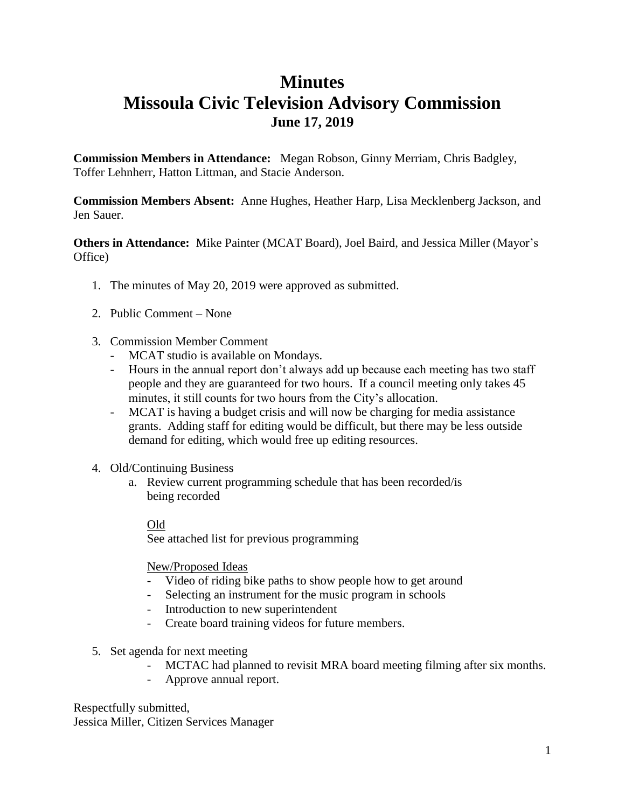### **Minutes**

## **Missoula Civic Television Advisory Commission June 17, 2019**

**Commission Members in Attendance:** Megan Robson, Ginny Merriam, Chris Badgley, Toffer Lehnherr, Hatton Littman, and Stacie Anderson.

**Commission Members Absent:** Anne Hughes, Heather Harp, Lisa Mecklenberg Jackson, and Jen Sauer.

**Others in Attendance:** Mike Painter (MCAT Board), Joel Baird, and Jessica Miller (Mayor's Office)

- 1. The minutes of May 20, 2019 were approved as submitted.
- 2. Public Comment None
- 3. Commission Member Comment
	- MCAT studio is available on Mondays.
	- Hours in the annual report don't always add up because each meeting has two staff people and they are guaranteed for two hours. If a council meeting only takes 45 minutes, it still counts for two hours from the City's allocation.
	- MCAT is having a budget crisis and will now be charging for media assistance grants. Adding staff for editing would be difficult, but there may be less outside demand for editing, which would free up editing resources.
- 4. Old/Continuing Business
	- a. Review current programming schedule that has been recorded/is being recorded

#### Old

See attached list for previous programming

New/Proposed Ideas

- Video of riding bike paths to show people how to get around
- Selecting an instrument for the music program in schools
- Introduction to new superintendent
- Create board training videos for future members.
- 5. Set agenda for next meeting
	- MCTAC had planned to revisit MRA board meeting filming after six months.
	- Approve annual report.

Respectfully submitted, Jessica Miller, Citizen Services Manager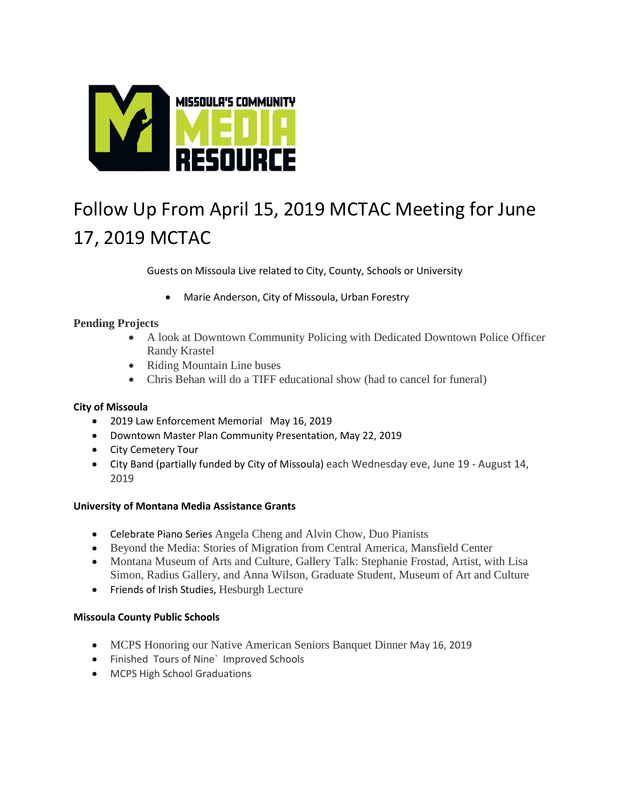

# Follow Up From April 15, 2019 MCTAC Meeting for June 17, 2019 MCTAC

Guests on Missoula Live related to City, County, Schools or University

Marie Anderson, City of Missoula, Urban Forestry

#### **Pending Projects**

- A look at Downtown Community Policing with Dedicated Downtown Police Officer Randy Krastel
- Riding Mountain Line buses
- Chris Behan will do a TIFF educational show (had to cancel for funeral)

#### **City of Missoula**

- 2019 Law Enforcement Memorial May 16, 2019
- Downtown Master Plan Community Presentation, May 22, 2019
- City Cemetery Tour
- City Band (partially funded by City of Missoula) each Wednesday eve, June 19 August 14, 2019

#### **University of Montana Media Assistance Grants**

- Celebrate Piano Series Angela Cheng and Alvin Chow, Duo Pianists
- Beyond the Media: Stories of Migration from Central America, Mansfield Center
- Montana Museum of Arts and Culture, Gallery Talk: Stephanie Frostad, Artist, with Lisa Simon, Radius Gallery, and Anna Wilson, Graduate Student, Museum of Art and Culture
- **•** Friends of Irish Studies, Hesburgh Lecture

#### **Missoula County Public Schools**

- MCPS Honoring our Native American Seniors Banquet Dinner May 16, 2019
- Finished Tours of Nine` Improved Schools
- MCPS High School Graduations